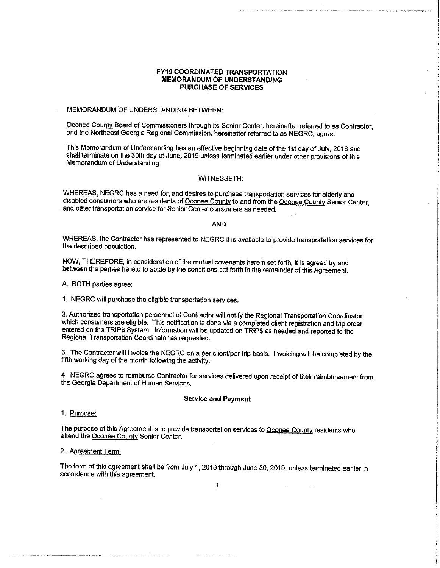# FY19 COORDINATED TRANSPORTATION MEMORANDUM OF UNDERSTANDING PURCHASE OF SERVICES

MEMORANDUM OF UNDERSTANDING BETWEEN

Oconee County Board of Commissioners through its Senior Center; hereinafter referred to as Contractor, and the Northeast Georgia Regional Commission, hereinafter referred to as NEGRC, agree:

This Memorandum of Understanding has an effective beginning date of the 1st day of July, 2018 and shall terminate on the 30th day of June, 2019 unless terminated earlier under other provisions of this Memorandum of Understanding.

### WITNESSETH:

WHEREAS, NEGRC has a need for, and desires to purchase transportation services for elderly and disabled consumers who are residents of Oconee County to and from the Oconee County Senior Center, and other transportation service for Senior Center consumers as needed.

AND

3. The Contractor will invoice the NEGRC on a per client/per trip basis. Invoicing will be completed by the fifth working day of the month following the activity.

WHEREAS, the Contractor has represented to NEGRC it is available to provide transportation services for the described population.

NOW, THEREFORE, in consideration of the mutual covenants herein set forth, it is agreed by and between the parties hereto to abide by the conditions set forth in the remainder of this Agreement.

A. BOTH parties agree:

1. NEGRC will purchase the eligible transportation services.

2. Authorized transportation personnel of Contractor will notify the Regional Transportation Coordinator which consumers are eligible. This notification is done via a completed client registration and trip order entered on the TRIP\$ System. Information will be updated on TRIP\$ as needed and reported to the Regional Transportation Coordinator as requested.

4. NEGRC agrees to reimburse Contractor for services delivered upon receipt of their reimbursement from the Georgia Department of Human Services.

# Service and Payment

# 1. <u>Purpose:</u>

The purpose of this Agreement is to provide transportation services to Oconee County residents who attend the Oconee County Senior Center.

# 2. Agreement Term:

The term of this agreement shall be from July 1, 2018 through June 30, 2019, unless terminated earlier in accordance with this agreement.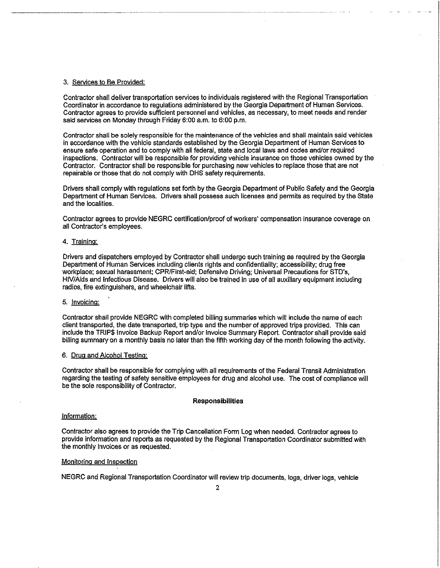### 3. Services to Be Provided:

Contractor shall deliver transportation services to individuals registered with the Regional Transportation Coordinator in accordance to regulations administered by the Georgia Department of Human Services. Contractor agrees to provide sufficient personnel and vehicles, as necessary, to meet needs and render said services on Monday through Friday 6:00 a.m. to 6:00 p.m.

Contractor shall be solely responsible for the maintenance of the vehicles and shall maintain said vehicles in accordance with the vehicle standards established by the Georgia Department of Human Services to ensure safe operation and to comply with all federal, state and local laws and codes and/or required inspections. Contractor will be responsible for providing vehicle insurance on those vehicles owned by the Contractor. Contractor shall be responsible for purchasing new vehicles to replace those that are not repairable or those that do not comply with DHS safety requirements.

Drivers shall comply with regulations set forth by the Georgia Department of Public Safety and the Georgia Department of Human Services. Drivers shall possess such licenses and permits as required by the State and the localities.

Contractor agrees to provide NEGRC certification/proof of workers' compensation insurance coverage on all Contractor's employees.

# 4. Training:

Drivers and dispatchers employed by Contractor shall undergo such training as required by the Georgia Department of Human Services including clients rights and confidentiality; accessibility; drug free workplace; sexual harassment; CPR/First-aid; Defensive Driving; Universal Precautions for STD's, HIV/Aids and Infectious Disease. Drivers will also be trained in use of all auxiliary equipment including radios, fire extinguishers, and wheelchair lifts.

# 5. Invoicing:

Contractor shall provide NEGRC with completed billing summaries which will include the name of each client transported, the date transported, trip type and the number of approved trips provided. This can include the TRIP\$ Invoice Backup Report and/or Invoice Summary Report. Contractor shall provide said billing summary on a monthly basis no later than the fifth working day of the month following the activity.

# 6. Drug and Alcohol Testing:

Gontractor shall be responsible for complying with all requirements of the Federal Transit Administration regarding the testing of safety sensitive employees for drug and alcohol use. The cost of compliance will be the sole responsibility of Contractor.

# Responsibilities

### Information:

Contractor also agrees to provide the Trip Cancellation Form Log when needed. Contractor agrees to provide information and reports as requested by the Regional Transportation Coordinator submitted with the monthly invoices or as requested.

### Monitoring and Inspection

# NEGRC and Regional Transportation Coordinator will review trip documents, logs, driver logs, vehicle

2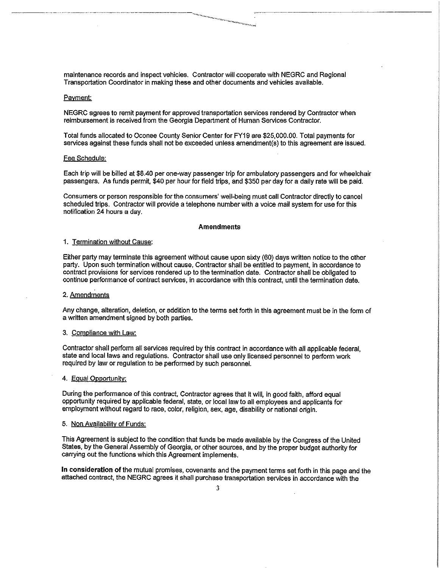# maintenance records and inspect vehicles. Contractor will cooperate with NEGRC and Regional Transportation Coordinator in making these and other documents and vehicles available.

### Payment:

NEGRC agrees to remit payment for approved transportation services rendered by Contractor when reimbursement is received from the Georgia Department of Human Services Contractor.

Total funds allocated to Oconee County Senior Center for FY19 are \$25,000.00. Total payments for services against these funds shall not be exceeded unless amendment(s) to this agreement are issued.

### Fee Schedule:

Each trip will be billed at \$8.40 per one-way passenger trip for ambulatory passengers and for wheelchair passengers. As funds permit, \$40 per hour for field trips, and \$350 per day for a daily rate will be paid.

Consumers or person responsible for the consumers' well-being must call Contractor directly to cancel scheduled trips. Contractor will provide a telephone number with a voice mail system for use for this notification 24 hours a day.

### Amendments

# 1. Termination without Cause:

Either party may terminate this agreement without cause upon sixty (60) days written notice to the other party. Upon such termination without cause, Contractor shall be entitled to payment, in accordance to contract provisions for services rendered up to the termination date. Contractor shall be obligated to continue performance of contract services, in accordance with this contract, until the termination date.

In consideration of the mutual promises, covenants and the payment terms set forth in this page and the attached contract, the NEGRC agrees it shall purchase transportation services in accordance with the

# 2. Amendments

Any change, alteration, deletion, or addition to the terms set forth in this agreement must be in the form of a written amendment signed by both parties.

## 3. Compliance with Law:

Contractor shall perform all services required by this contract in accordance with all applicable federal, state and local laws and regulations. Contractor shall use only licensed personnel to perform work required by law or regulation to be performed by such personnel.

# 4. Equal Opportunity:

During the performance of this contract, Contractor agrees that it will, in good faith, afford equal opportunity required by applicable federal, state, or local law to all employees and applicants for employment without regard to race, color, religion, sex, age, disability or national origin.

# 5. Non Availability of Funds:

This Agreement is subject to the condition that funds be made available by the Congress of the United States, by the General Assembly of Georgia, or other sources, and by the proper budget authority for carrying out the functions which this Agreement implements,